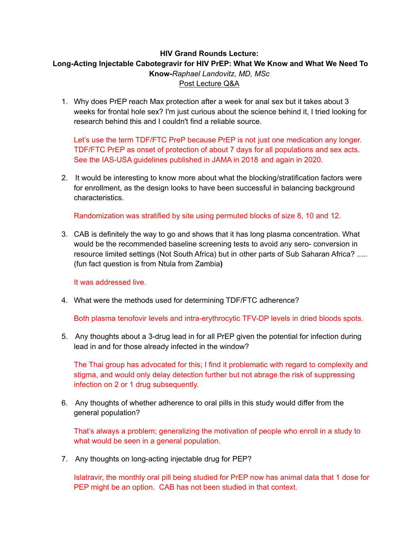## **HIV Grand Rounds Lecture: Long-Acting Injectable Cabotegravir for HIV PrEP: What We Know and What We Need To Know-***Raphael Landovitz, MD, MSc* Post Lecture Q&A

1. Why does PrEP reach Max protection after a week for anal sex but it takes about 3 weeks for frontal hole sex? I'm just curious about the science behind it, I tried looking for research behind this and I couldn't find a reliable source.

Let's use the term TDF/FTC PreP because PrEP is not just one medication any longer. TDF/FTC PrEP as onset of protection of about 7 days for all populations and sex acts. See the IAS-USA guidelines published in JAMA in 2018 and again in 2020.

2. It would be interesting to know more about what the blocking/stratification factors were for enrollment, as the design looks to have been successful in balancing background characteristics.

Randomization was stratified by site using permuted blocks of size 8, 10 and 12.

3. CAB is definitely the way to go and shows that it has long plasma concentration. What would be the recommended baseline screening tests to avoid any sero- conversion in resource limited settings (Not South Africa) but in other parts of Sub Saharan Africa? ..... (fun fact question is from Ntula from Zambia**)**

It was addressed live.

4. What were the methods used for determining TDF/FTC adherence?

Both plasma tenofovir levels and intra-erythrocytic TFV-DP levels in dried bloods spots.

5. Any thoughts about a 3-drug lead in for all PrEP given the potential for infection during lead in and for those already infected in the window?

The Thai group has advocated for this; I find it problematic with regard to complexity and stigma, and would only delay detection further but not abrage the risk of suppressing infection on 2 or 1 drug subsequently.

6. Any thoughts of whether adherence to oral pills in this study would differ from the general population?

That's always a problem; generalizing the motivation of people who enroll in a study to what would be seen in a general population.

7. Any thoughts on long-acting injectable drug for PEP?

Islatravir, the monthly oral pill being studied for PrEP now has animal data that 1 dose for PEP might be an option. CAB has not been studied in that context.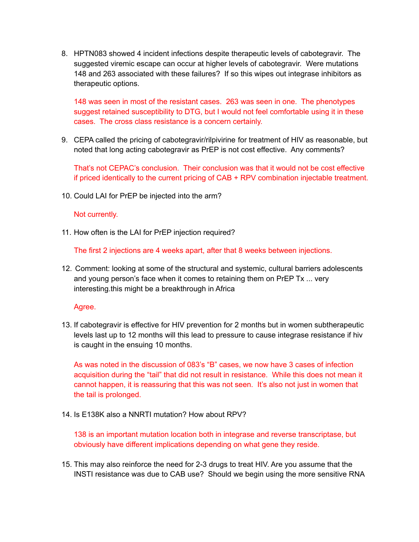8. HPTN083 showed 4 incident infections despite therapeutic levels of cabotegravir. The suggested viremic escape can occur at higher levels of cabotegravir. Were mutations 148 and 263 associated with these failures? If so this wipes out integrase inhibitors as therapeutic options.

148 was seen in most of the resistant cases. 263 was seen in one. The phenotypes suggest retained susceptibility to DTG, but I would not feel comfortable using it in these cases. The cross class resistance is a concern certainly.

9. CEPA called the pricing of cabotegravir/rilpivirine for treatment of HIV as reasonable, but noted that long acting cabotegravir as PrEP is not cost effective. Any comments?

That's not CEPAC's conclusion. Their conclusion was that it would not be cost effective if priced identically to the current pricing of CAB + RPV combination injectable treatment.

10. Could LAI for PrEP be injected into the arm?

## Not currently.

11. How often is the LAI for PrEP injection required?

The first 2 injections are 4 weeks apart, after that 8 weeks between injections.

12. Comment: looking at some of the structural and systemic, cultural barriers adolescents and young person's face when it comes to retaining them on PrEP Tx ... very interesting.this might be a breakthrough in Africa

Agree.

13. If cabotegravir is effective for HIV prevention for 2 months but in women subtherapeutic levels last up to 12 months will this lead to pressure to cause integrase resistance if hiv is caught in the ensuing 10 months.

As was noted in the discussion of 083's "B" cases, we now have 3 cases of infection acquisition during the "tail" that did not result in resistance. While this does not mean it cannot happen, it is reassuring that this was not seen. It's also not just in women that the tail is prolonged.

14. Is E138K also a NNRTI mutation? How about RPV?

138 is an important mutation location both in integrase and reverse transcriptase, but obviously have different implications depending on what gene they reside.

15. This may also reinforce the need for 2-3 drugs to treat HIV. Are you assume that the INSTI resistance was due to CAB use? Should we begin using the more sensitive RNA